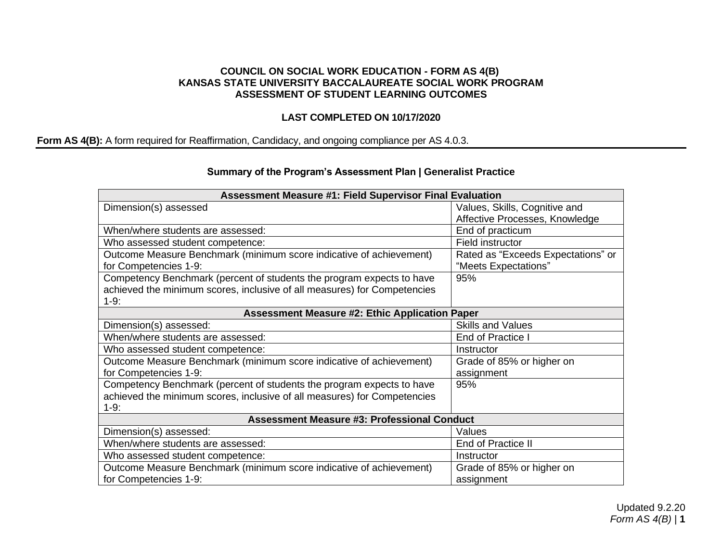## **COUNCIL ON SOCIAL WORK EDUCATION - FORM AS 4(B) KANSAS STATE UNIVERSITY BACCALAUREATE SOCIAL WORK PROGRAM ASSESSMENT OF STUDENT LEARNING OUTCOMES**

## **LAST COMPLETED ON 10/17/2020**

## **Form AS 4(B):** A form required for Reaffirmation, Candidacy, and ongoing compliance per AS 4.0.3.

## **Summary of the Program's Assessment Plan | Generalist Practice**

| <b>Assessment Measure #1: Field Supervisor Final Evaluation</b>          |                                    |  |  |
|--------------------------------------------------------------------------|------------------------------------|--|--|
| Dimension(s) assessed                                                    | Values, Skills, Cognitive and      |  |  |
|                                                                          | Affective Processes, Knowledge     |  |  |
| When/where students are assessed:                                        | End of practicum                   |  |  |
| Who assessed student competence:                                         | Field instructor                   |  |  |
| Outcome Measure Benchmark (minimum score indicative of achievement)      | Rated as "Exceeds Expectations" or |  |  |
| for Competencies 1-9:                                                    | "Meets Expectations"               |  |  |
| Competency Benchmark (percent of students the program expects to have    | 95%                                |  |  |
| achieved the minimum scores, inclusive of all measures) for Competencies |                                    |  |  |
| $1-9:$                                                                   |                                    |  |  |
| <b>Assessment Measure #2: Ethic Application Paper</b>                    |                                    |  |  |
| Dimension(s) assessed:                                                   | <b>Skills and Values</b>           |  |  |
| When/where students are assessed:                                        | End of Practice I                  |  |  |
| Who assessed student competence:                                         | Instructor                         |  |  |
| Outcome Measure Benchmark (minimum score indicative of achievement)      | Grade of 85% or higher on          |  |  |
| for Competencies 1-9:                                                    | assignment                         |  |  |
| Competency Benchmark (percent of students the program expects to have    | 95%                                |  |  |
| achieved the minimum scores, inclusive of all measures) for Competencies |                                    |  |  |
| $1-9:$                                                                   |                                    |  |  |
| <b>Assessment Measure #3: Professional Conduct</b>                       |                                    |  |  |
| Dimension(s) assessed:                                                   | Values                             |  |  |
| When/where students are assessed:                                        | End of Practice II                 |  |  |
| Who assessed student competence:                                         | Instructor                         |  |  |
| Outcome Measure Benchmark (minimum score indicative of achievement)      | Grade of 85% or higher on          |  |  |
| for Competencies 1-9:                                                    | assignment                         |  |  |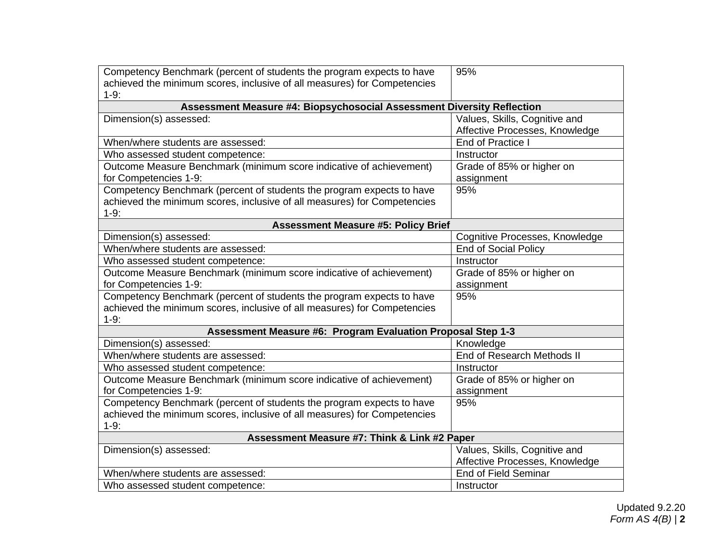| Competency Benchmark (percent of students the program expects to have<br>achieved the minimum scores, inclusive of all measures) for Competencies<br>$1-9:$ | 95%                            |  |  |
|-------------------------------------------------------------------------------------------------------------------------------------------------------------|--------------------------------|--|--|
| Assessment Measure #4: Biopsychosocial Assessment Diversity Reflection                                                                                      |                                |  |  |
| Dimension(s) assessed:                                                                                                                                      | Values, Skills, Cognitive and  |  |  |
|                                                                                                                                                             | Affective Processes, Knowledge |  |  |
| When/where students are assessed:                                                                                                                           | End of Practice I              |  |  |
| Who assessed student competence:                                                                                                                            | Instructor                     |  |  |
| Outcome Measure Benchmark (minimum score indicative of achievement)                                                                                         | Grade of 85% or higher on      |  |  |
| for Competencies 1-9:                                                                                                                                       | assignment                     |  |  |
| Competency Benchmark (percent of students the program expects to have                                                                                       | 95%                            |  |  |
| achieved the minimum scores, inclusive of all measures) for Competencies                                                                                    |                                |  |  |
| $1-9:$                                                                                                                                                      |                                |  |  |
| <b>Assessment Measure #5: Policy Brief</b>                                                                                                                  |                                |  |  |
| Dimension(s) assessed:                                                                                                                                      | Cognitive Processes, Knowledge |  |  |
| When/where students are assessed:                                                                                                                           | <b>End of Social Policy</b>    |  |  |
| Who assessed student competence:                                                                                                                            | Instructor                     |  |  |
| Outcome Measure Benchmark (minimum score indicative of achievement)                                                                                         | Grade of 85% or higher on      |  |  |
| for Competencies 1-9:                                                                                                                                       | assignment                     |  |  |
| Competency Benchmark (percent of students the program expects to have                                                                                       | 95%                            |  |  |
| achieved the minimum scores, inclusive of all measures) for Competencies                                                                                    |                                |  |  |
| $1-9:$                                                                                                                                                      |                                |  |  |
| Assessment Measure #6: Program Evaluation Proposal Step 1-3                                                                                                 |                                |  |  |
| Dimension(s) assessed:                                                                                                                                      | Knowledge                      |  |  |
| When/where students are assessed:                                                                                                                           | End of Research Methods II     |  |  |
| Who assessed student competence:                                                                                                                            | Instructor                     |  |  |
| Outcome Measure Benchmark (minimum score indicative of achievement)                                                                                         | Grade of 85% or higher on      |  |  |
| for Competencies 1-9:                                                                                                                                       | assignment                     |  |  |
| Competency Benchmark (percent of students the program expects to have                                                                                       | 95%                            |  |  |
| achieved the minimum scores, inclusive of all measures) for Competencies                                                                                    |                                |  |  |
| $1-9:$                                                                                                                                                      |                                |  |  |
| Assessment Measure #7: Think & Link #2 Paper                                                                                                                |                                |  |  |
| Dimension(s) assessed:                                                                                                                                      | Values, Skills, Cognitive and  |  |  |
|                                                                                                                                                             | Affective Processes, Knowledge |  |  |
| When/where students are assessed:                                                                                                                           | <b>End of Field Seminar</b>    |  |  |
| Who assessed student competence:                                                                                                                            | Instructor                     |  |  |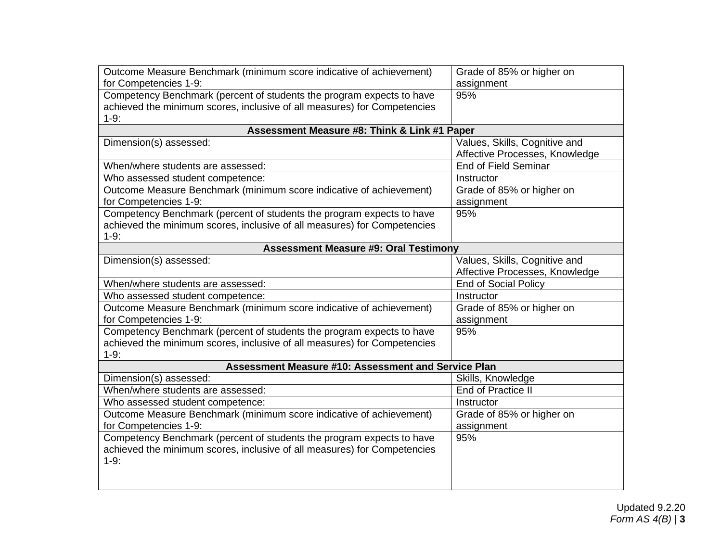| Outcome Measure Benchmark (minimum score indicative of achievement)      | Grade of 85% or higher on      |  |  |
|--------------------------------------------------------------------------|--------------------------------|--|--|
| for Competencies 1-9:                                                    | assignment                     |  |  |
| Competency Benchmark (percent of students the program expects to have    | 95%                            |  |  |
| achieved the minimum scores, inclusive of all measures) for Competencies |                                |  |  |
| $1-9:$                                                                   |                                |  |  |
| Assessment Measure #8: Think & Link #1 Paper                             |                                |  |  |
| Dimension(s) assessed:                                                   | Values, Skills, Cognitive and  |  |  |
|                                                                          | Affective Processes, Knowledge |  |  |
| When/where students are assessed:                                        | <b>End of Field Seminar</b>    |  |  |
| Who assessed student competence:                                         | Instructor                     |  |  |
| Outcome Measure Benchmark (minimum score indicative of achievement)      | Grade of 85% or higher on      |  |  |
| for Competencies 1-9:                                                    | assignment                     |  |  |
| Competency Benchmark (percent of students the program expects to have    | 95%                            |  |  |
| achieved the minimum scores, inclusive of all measures) for Competencies |                                |  |  |
| $1-9:$                                                                   |                                |  |  |
| <b>Assessment Measure #9: Oral Testimony</b>                             |                                |  |  |
| Dimension(s) assessed:                                                   | Values, Skills, Cognitive and  |  |  |
|                                                                          | Affective Processes, Knowledge |  |  |
| When/where students are assessed:                                        | <b>End of Social Policy</b>    |  |  |
| Who assessed student competence:                                         | Instructor                     |  |  |
| Outcome Measure Benchmark (minimum score indicative of achievement)      | Grade of 85% or higher on      |  |  |
| for Competencies 1-9:                                                    | assignment                     |  |  |
| Competency Benchmark (percent of students the program expects to have    | 95%                            |  |  |
| achieved the minimum scores, inclusive of all measures) for Competencies |                                |  |  |
| $1-9:$                                                                   |                                |  |  |
| Assessment Measure #10: Assessment and Service Plan                      |                                |  |  |
| Dimension(s) assessed:                                                   | Skills, Knowledge              |  |  |
| When/where students are assessed:                                        | End of Practice II             |  |  |
| Who assessed student competence:                                         | Instructor                     |  |  |
| Outcome Measure Benchmark (minimum score indicative of achievement)      | Grade of 85% or higher on      |  |  |
| for Competencies 1-9:                                                    | assignment                     |  |  |
| Competency Benchmark (percent of students the program expects to have    | 95%                            |  |  |
| achieved the minimum scores, inclusive of all measures) for Competencies |                                |  |  |
| $1-9:$                                                                   |                                |  |  |
|                                                                          |                                |  |  |
|                                                                          |                                |  |  |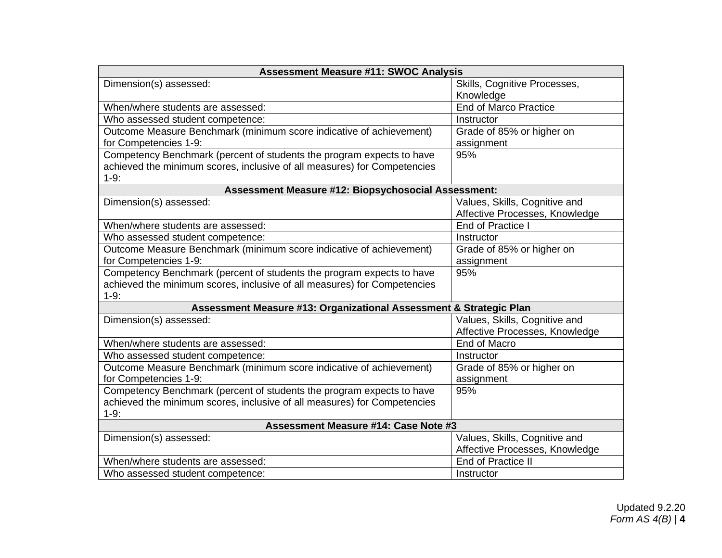| <b>Assessment Measure #11: SWOC Analysis</b>                             |                                |  |  |
|--------------------------------------------------------------------------|--------------------------------|--|--|
| Dimension(s) assessed:                                                   | Skills, Cognitive Processes,   |  |  |
|                                                                          | Knowledge                      |  |  |
| When/where students are assessed:                                        | <b>End of Marco Practice</b>   |  |  |
| Who assessed student competence:                                         | Instructor                     |  |  |
| Outcome Measure Benchmark (minimum score indicative of achievement)      | Grade of 85% or higher on      |  |  |
| for Competencies 1-9:                                                    | assignment                     |  |  |
| Competency Benchmark (percent of students the program expects to have    | 95%                            |  |  |
| achieved the minimum scores, inclusive of all measures) for Competencies |                                |  |  |
| $1-9:$                                                                   |                                |  |  |
| Assessment Measure #12: Biopsychosocial Assessment:                      |                                |  |  |
| Dimension(s) assessed:                                                   | Values, Skills, Cognitive and  |  |  |
|                                                                          | Affective Processes, Knowledge |  |  |
| When/where students are assessed:                                        | End of Practice I              |  |  |
| Who assessed student competence:                                         | Instructor                     |  |  |
| Outcome Measure Benchmark (minimum score indicative of achievement)      | Grade of 85% or higher on      |  |  |
| for Competencies 1-9:                                                    | assignment                     |  |  |
| Competency Benchmark (percent of students the program expects to have    | 95%                            |  |  |
| achieved the minimum scores, inclusive of all measures) for Competencies |                                |  |  |
| $1-9:$                                                                   |                                |  |  |
| Assessment Measure #13: Organizational Assessment & Strategic Plan       |                                |  |  |
| Dimension(s) assessed:                                                   | Values, Skills, Cognitive and  |  |  |
|                                                                          | Affective Processes, Knowledge |  |  |
| When/where students are assessed:                                        | End of Macro                   |  |  |
| Who assessed student competence:                                         | Instructor                     |  |  |
| Outcome Measure Benchmark (minimum score indicative of achievement)      | Grade of 85% or higher on      |  |  |
| for Competencies 1-9:                                                    | assignment                     |  |  |
| Competency Benchmark (percent of students the program expects to have    | 95%                            |  |  |
| achieved the minimum scores, inclusive of all measures) for Competencies |                                |  |  |
| $1-9:$                                                                   |                                |  |  |
| Assessment Measure #14: Case Note #3                                     |                                |  |  |
| Dimension(s) assessed:                                                   | Values, Skills, Cognitive and  |  |  |
|                                                                          | Affective Processes, Knowledge |  |  |
| When/where students are assessed:                                        | End of Practice II             |  |  |
| Who assessed student competence:                                         | Instructor                     |  |  |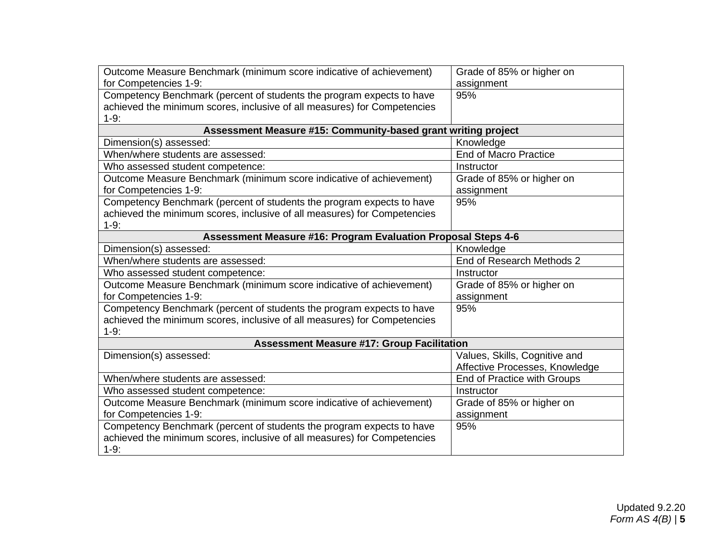| Outcome Measure Benchmark (minimum score indicative of achievement)<br>for Competencies 1-9: | Grade of 85% or higher on<br>assignment |  |  |
|----------------------------------------------------------------------------------------------|-----------------------------------------|--|--|
| Competency Benchmark (percent of students the program expects to have                        | 95%                                     |  |  |
|                                                                                              |                                         |  |  |
| achieved the minimum scores, inclusive of all measures) for Competencies<br>$1-9:$           |                                         |  |  |
| Assessment Measure #15: Community-based grant writing project                                |                                         |  |  |
| Dimension(s) assessed:                                                                       | Knowledge                               |  |  |
| When/where students are assessed:                                                            | <b>End of Macro Practice</b>            |  |  |
|                                                                                              | Instructor                              |  |  |
| Who assessed student competence:                                                             |                                         |  |  |
| Outcome Measure Benchmark (minimum score indicative of achievement)<br>for Competencies 1-9: | Grade of 85% or higher on<br>assignment |  |  |
| Competency Benchmark (percent of students the program expects to have                        | 95%                                     |  |  |
| achieved the minimum scores, inclusive of all measures) for Competencies                     |                                         |  |  |
| $1-9:$                                                                                       |                                         |  |  |
| Assessment Measure #16: Program Evaluation Proposal Steps 4-6                                |                                         |  |  |
| Dimension(s) assessed:                                                                       | Knowledge                               |  |  |
| When/where students are assessed:                                                            | End of Research Methods 2               |  |  |
| Who assessed student competence:                                                             | Instructor                              |  |  |
| Outcome Measure Benchmark (minimum score indicative of achievement)                          | Grade of 85% or higher on               |  |  |
| for Competencies 1-9:                                                                        | assignment                              |  |  |
| Competency Benchmark (percent of students the program expects to have                        | 95%                                     |  |  |
| achieved the minimum scores, inclusive of all measures) for Competencies                     |                                         |  |  |
| $1-9:$                                                                                       |                                         |  |  |
| <b>Assessment Measure #17: Group Facilitation</b>                                            |                                         |  |  |
| Dimension(s) assessed:                                                                       | Values, Skills, Cognitive and           |  |  |
|                                                                                              | Affective Processes, Knowledge          |  |  |
| When/where students are assessed:                                                            | End of Practice with Groups             |  |  |
| Who assessed student competence:                                                             | Instructor                              |  |  |
| Outcome Measure Benchmark (minimum score indicative of achievement)                          | Grade of 85% or higher on               |  |  |
| for Competencies 1-9:                                                                        | assignment                              |  |  |
| Competency Benchmark (percent of students the program expects to have                        | 95%                                     |  |  |
| achieved the minimum scores, inclusive of all measures) for Competencies                     |                                         |  |  |
| $1-9:$                                                                                       |                                         |  |  |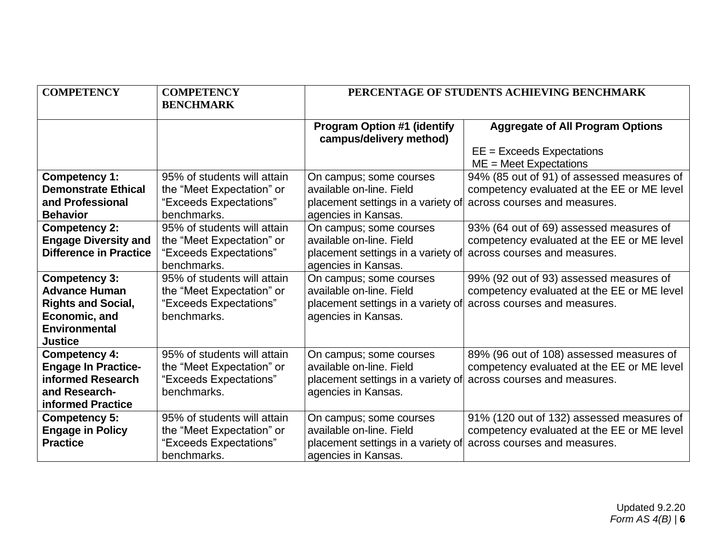| <b>COMPETENCY</b>             | <b>COMPETENCY</b><br><b>BENCHMARK</b> | PERCENTAGE OF STUDENTS ACHIEVING BENCHMARK                      |                                                         |
|-------------------------------|---------------------------------------|-----------------------------------------------------------------|---------------------------------------------------------|
|                               |                                       | <b>Program Option #1 (identify</b><br>campus/delivery method)   | <b>Aggregate of All Program Options</b>                 |
|                               |                                       |                                                                 | $EE = Exceeds Expectations$<br>$ME = Meet$ Expectations |
| Competency 1:                 | 95% of students will attain           | On campus; some courses                                         | 94% (85 out of 91) of assessed measures of              |
| <b>Demonstrate Ethical</b>    | the "Meet Expectation" or             | available on-line. Field                                        | competency evaluated at the EE or ME level              |
| and Professional              | "Exceeds Expectations"                | placement settings in a variety of                              | across courses and measures.                            |
| <b>Behavior</b>               | benchmarks.                           | agencies in Kansas.                                             |                                                         |
| <b>Competency 2:</b>          | 95% of students will attain           | On campus; some courses                                         | 93% (64 out of 69) assessed measures of                 |
| <b>Engage Diversity and</b>   | the "Meet Expectation" or             | available on-line. Field                                        | competency evaluated at the EE or ME level              |
| <b>Difference in Practice</b> | "Exceeds Expectations"                | placement settings in a variety of                              | across courses and measures.                            |
|                               | benchmarks.                           | agencies in Kansas.                                             |                                                         |
| Competency 3:                 | 95% of students will attain           | On campus; some courses                                         | 99% (92 out of 93) assessed measures of                 |
| <b>Advance Human</b>          | the "Meet Expectation" or             | available on-line. Field                                        | competency evaluated at the EE or ME level              |
| <b>Rights and Social,</b>     | "Exceeds Expectations"                | placement settings in a variety of                              | across courses and measures.                            |
| Economic, and                 | benchmarks.                           | agencies in Kansas.                                             |                                                         |
| <b>Environmental</b>          |                                       |                                                                 |                                                         |
| <b>Justice</b>                |                                       |                                                                 |                                                         |
| <b>Competency 4:</b>          | 95% of students will attain           | On campus; some courses                                         | 89% (96 out of 108) assessed measures of                |
| <b>Engage In Practice-</b>    | the "Meet Expectation" or             | available on-line. Field                                        | competency evaluated at the EE or ME level              |
| informed Research             | "Exceeds Expectations"                | placement settings in a variety of across courses and measures. |                                                         |
| and Research-                 | benchmarks.                           | agencies in Kansas.                                             |                                                         |
| informed Practice             |                                       |                                                                 |                                                         |
| Competency 5:                 | 95% of students will attain           | On campus; some courses                                         | 91% (120 out of 132) assessed measures of               |
| <b>Engage in Policy</b>       | the "Meet Expectation" or             | available on-line. Field                                        | competency evaluated at the EE or ME level              |
| <b>Practice</b>               | "Exceeds Expectations"                | placement settings in a variety of across courses and measures. |                                                         |
|                               | benchmarks.                           | agencies in Kansas.                                             |                                                         |